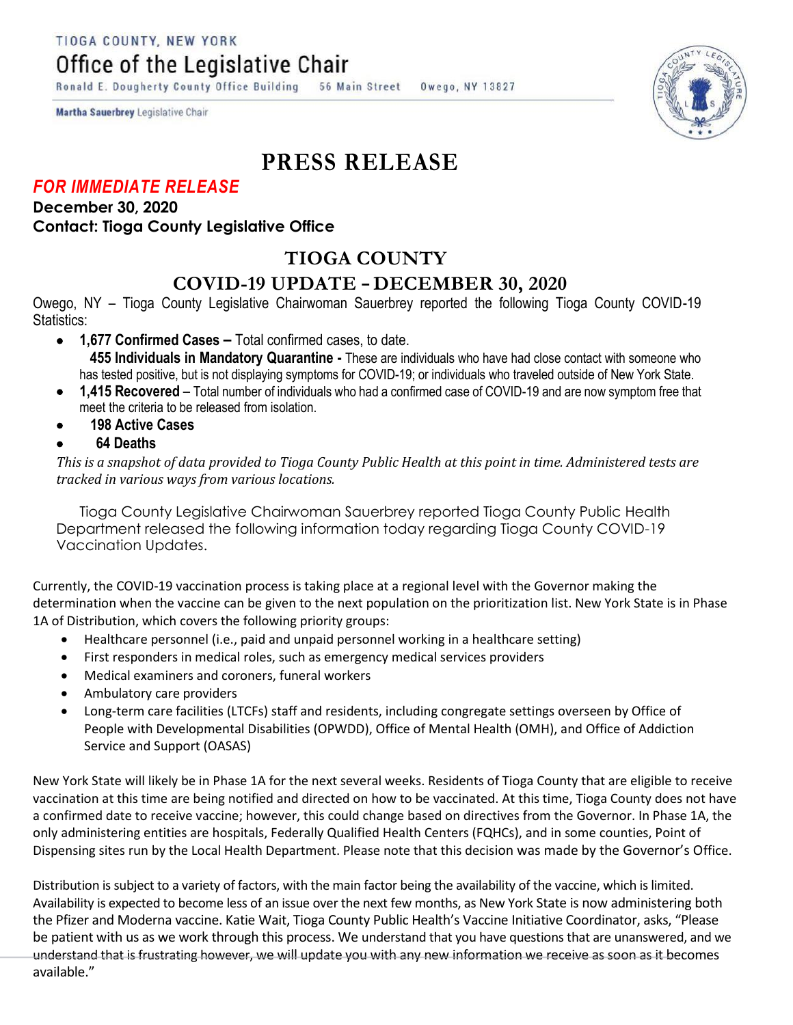TIOGA COUNTY, NEW YORK

Office of the Legislative Chair

Ronald E. Dougherty County Office Building **56 Main Street** Owego, NY 13827

**Martha Sauerbrey Legislative Chair** 

# **PRESS RELEASE**

## *FOR IMMEDIATE RELEASE*

### **December 30, 2020 Contact: Tioga County Legislative Office**

# **TIOGA COUNTY**

## **COVID-19 UPDATE – DECEMBER 30, 2020**

Owego, NY – Tioga County Legislative Chairwoman Sauerbrey reported the following Tioga County COVID-19 Statistics:

- **1,677 Confirmed Cases –** Total confirmed cases, to date.  **455 Individuals in Mandatory Quarantine -** These are individuals who have had close contact with someone who has tested positive, but is not displaying symptoms for COVID-19; or individuals who traveled outside of New York State.
- **1,415 Recovered**  Total number of individuals who had a confirmed case of COVID-19 and are now symptom free that meet the criteria to be released from isolation.
- **198 Active Cases**
- **64 Deaths**

*This is a snapshot of data provided to Tioga County Public Health at this point in time. Administered tests are tracked in various ways from various locations.*

Tioga County Legislative Chairwoman Sauerbrey reported Tioga County Public Health Department released the following information today regarding Tioga County COVID-19 Vaccination Updates.

Currently, the COVID-19 vaccination process is taking place at a regional level with the Governor making the determination when the vaccine can be given to the next population on the prioritization list. New York State is in Phase 1A of Distribution, which covers the following priority groups:

- Healthcare personnel (i.e., paid and unpaid personnel working in a healthcare setting)
- First responders in medical roles, such as emergency medical services providers
- Medical examiners and coroners, funeral workers
- Ambulatory care providers
- Long-term care facilities (LTCFs) staff and residents, including congregate settings overseen by Office of People with Developmental Disabilities (OPWDD), Office of Mental Health (OMH), and Office of Addiction Service and Support (OASAS)

New York State will likely be in Phase 1A for the next several weeks. Residents of Tioga County that are eligible to receive vaccination at this time are being notified and directed on how to be vaccinated. At this time, Tioga County does not have a confirmed date to receive vaccine; however, this could change based on directives from the Governor. In Phase 1A, the only administering entities are hospitals, Federally Qualified Health Centers (FQHCs), and in some counties, Point of Dispensing sites run by the Local Health Department. Please note that this decision was made by the Governor's Office.

Distribution is subject to a variety of factors, with the main factor being the availability of the vaccine, which is limited. Availability is expected to become less of an issue over the next few months, as New York State is now administering both the Pfizer and Moderna vaccine. Katie Wait, Tioga County Public Health's Vaccine Initiative Coordinator, asks, "Please be patient with us as we work through this process. We understand that you have questions that are unanswered, and we understand that is frustrating however, we will update you with any new information we receive as soon as it becomes available."